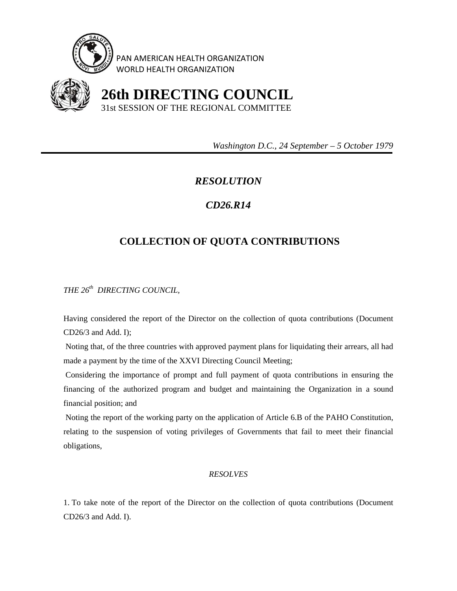

PAN AMERICAN HEALTH ORGANIZATION WORLD HEALTH ORGANIZATION



 **26th DIRECTING COUNCIL** 31st SESSION OF THE REGIONAL COMMITTEE

 *Washington D.C., 24 September – 5 October 1979* 

## *RESOLUTION*

## *CD26.R14*

## **COLLECTION OF QUOTA CONTRIBUTIONS**

*THE 26th DIRECTING COUNCIL,* 

Having considered the report of the Director on the collection of quota contributions (Document CD26/3 and Add. I);

 Noting that, of the three countries with approved payment plans for liquidating their arrears, all had made a payment by the time of the XXVI Directing Council Meeting;

 Considering the importance of prompt and full payment of quota contributions in ensuring the financing of the authorized program and budget and maintaining the Organization in a sound financial position; and

 Noting the report of the working party on the application of Article 6.B of the PAHO Constitution, relating to the suspension of voting privileges of Governments that fail to meet their financial obligations,

## *RESOLVES*

1. To take note of the report of the Director on the collection of quota contributions (Document CD26/3 and Add. I).